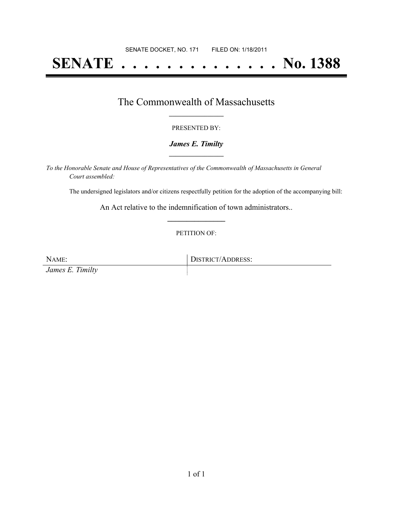# **SENATE . . . . . . . . . . . . . . No. 1388**

### The Commonwealth of Massachusetts **\_\_\_\_\_\_\_\_\_\_\_\_\_\_\_\_\_**

#### PRESENTED BY:

#### *James E. Timilty* **\_\_\_\_\_\_\_\_\_\_\_\_\_\_\_\_\_**

*To the Honorable Senate and House of Representatives of the Commonwealth of Massachusetts in General Court assembled:*

The undersigned legislators and/or citizens respectfully petition for the adoption of the accompanying bill:

An Act relative to the indemnification of town administrators.. **\_\_\_\_\_\_\_\_\_\_\_\_\_\_\_**

#### PETITION OF:

NAME: DISTRICT/ADDRESS: *James E. Timilty*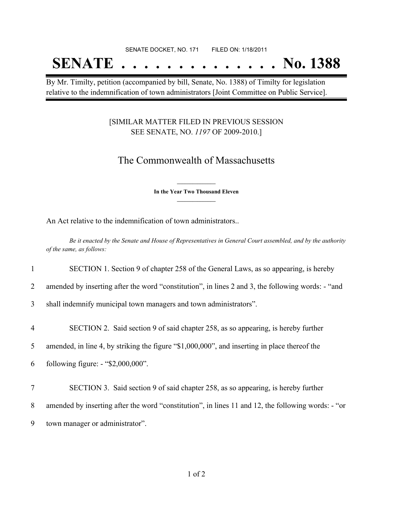#### SENATE DOCKET, NO. 171 FILED ON: 1/18/2011

## **SENATE . . . . . . . . . . . . . . No. 1388**

By Mr. Timilty, petition (accompanied by bill, Senate, No. 1388) of Timilty for legislation relative to the indemnification of town administrators [Joint Committee on Public Service].

#### [SIMILAR MATTER FILED IN PREVIOUS SESSION SEE SENATE, NO. *1197* OF 2009-2010.]

## The Commonwealth of Massachusetts

**\_\_\_\_\_\_\_\_\_\_\_\_\_\_\_ In the Year Two Thousand Eleven \_\_\_\_\_\_\_\_\_\_\_\_\_\_\_**

An Act relative to the indemnification of town administrators..

Be it enacted by the Senate and House of Representatives in General Court assembled, and by the authority *of the same, as follows:*

1 SECTION 1. Section 9 of chapter 258 of the General Laws, as so appearing, is hereby

2 amended by inserting after the word "constitution", in lines 2 and 3, the following words: - "and

3 shall indemnify municipal town managers and town administrators".

4 SECTION 2. Said section 9 of said chapter 258, as so appearing, is hereby further

5 amended, in line 4, by striking the figure "\$1,000,000", and inserting in place thereof the

6 following figure: - "\$2,000,000".

7 SECTION 3. Said section 9 of said chapter 258, as so appearing, is hereby further 8 amended by inserting after the word "constitution", in lines 11 and 12, the following words: - "or 9 town manager or administrator".